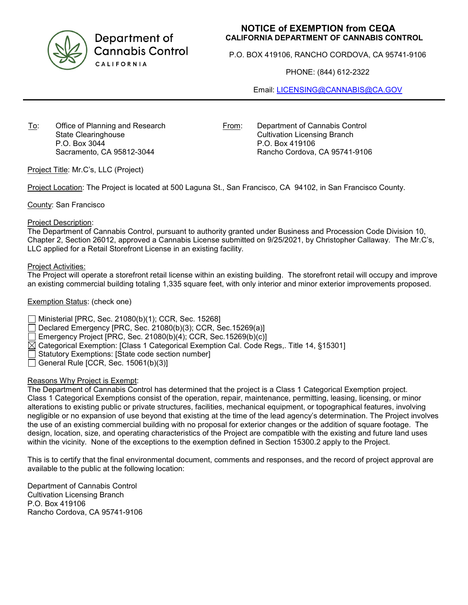

Department of **Cannabis Control** CALIFORNIA

# **NOTICE of EXEMPTION from CEQA CALIFORNIA DEPARTMENT OF CANNABIS CONTROL**

P.O. BOX 419106, RANCHO CORDOVA, CA 95741-9106

PHONE: (844) 612-2322

Email: [LICENSING@CANNABIS@CA.GOV](mailto:LICENSING@CANNABIS@CA.GOV)

To: Office of Planning and Research State Clearinghouse P.O. Box 3044 Sacramento, CA 95812-3044

From: Department of Cannabis Control Cultivation Licensing Branch P.O. Box 419106 Rancho Cordova, CA 95741-9106

Project Title: Mr.C's, LLC (Project)

Project Location: The Project is located at 500 Laguna St., San Francisco, CA 94102, in San Francisco County.

County: San Francisco

#### Project Description:

The Department of Cannabis Control, pursuant to authority granted under Business and Procession Code Division 10, Chapter 2, Section 26012, approved a Cannabis License submitted on 9/25/2021, by Christopher Callaway. The Mr.C's, LLC applied for a Retail Storefront License in an existing facility.

#### Project Activities:

The Project will operate a storefront retail license within an existing building. The storefront retail will occupy and improve an existing commercial building totaling 1,335 square feet, with only interior and minor exterior improvements proposed.

### Exemption Status: (check one)

Ministerial [PRC, Sec. 21080(b)(1); CCR, Sec. 15268]

Declared Emergency [PRC, Sec. 21080(b)(3); CCR, Sec.15269(a)]

Emergency Project [PRC, Sec. 21080(b)(4); CCR, Sec.15269(b)(c)]

 $\boxtimes$  Categorical Exemption: [Class 1 Categorical Exemption Cal. Code Regs,. Title 14, §15301]

Statutory Exemptions: [State code section number]

General Rule [CCR, Sec. 15061(b)(3)]

## Reasons Why Project is Exempt:

The Department of Cannabis Control has determined that the project is a Class 1 Categorical Exemption project. Class 1 Categorical Exemptions consist of the operation, repair, maintenance, permitting, leasing, licensing, or minor alterations to existing public or private structures, facilities, mechanical equipment, or topographical features, involving negligible or no expansion of use beyond that existing at the time of the lead agency's determination. The Project involves the use of an existing commercial building with no proposal for exterior changes or the addition of square footage. The design, location, size, and operating characteristics of the Project are compatible with the existing and future land uses within the vicinity. None of the exceptions to the exemption defined in Section 15300.2 apply to the Project.

This is to certify that the final environmental document, comments and responses, and the record of project approval are available to the public at the following location:

Department of Cannabis Control Cultivation Licensing Branch P.O. Box 419106 Rancho Cordova, CA 95741-9106